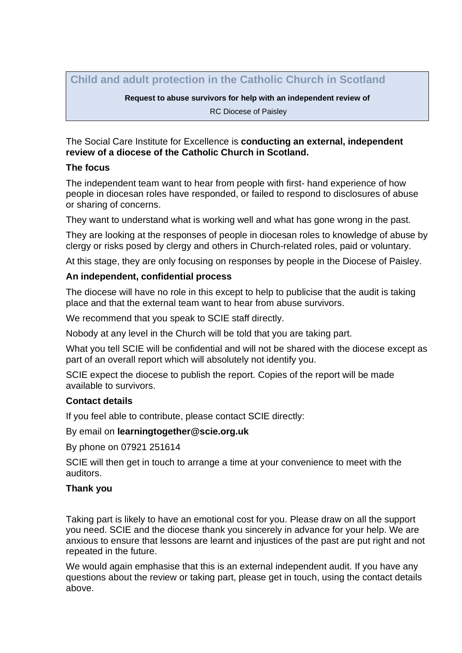**Child and adult protection in the Catholic Church in Scotland**

**Request to abuse survivors for help with an independent review of** RC Diocese of Paisley

The Social Care Institute for Excellence is **conducting an external, independent review of a diocese of the Catholic Church in Scotland.** 

# **The focus**

The independent team want to hear from people with first- hand experience of how people in diocesan roles have responded, or failed to respond to disclosures of abuse or sharing of concerns.

They want to understand what is working well and what has gone wrong in the past.

They are looking at the responses of people in diocesan roles to knowledge of abuse by clergy or risks posed by clergy and others in Church-related roles, paid or voluntary.

At this stage, they are only focusing on responses by people in the Diocese of Paisley.

# **An independent, confidential process**

The diocese will have no role in this except to help to publicise that the audit is taking place and that the external team want to hear from abuse survivors.

We recommend that you speak to SCIE staff directly.

Nobody at any level in the Church will be told that you are taking part.

What you tell SCIE will be confidential and will not be shared with the diocese except as part of an overall report which will absolutely not identify you.

SCIE expect the diocese to publish the report. Copies of the report will be made available to survivors.

### **Contact details**

If you feel able to contribute, please contact SCIE directly:

By email on **learningtogether@scie.org.uk** 

By phone on 07921 251614

SCIE will then get in touch to arrange a time at your convenience to meet with the auditors.

# **Thank you**

Taking part is likely to have an emotional cost for you. Please draw on all the support you need. SCIE and the diocese thank you sincerely in advance for your help. We are anxious to ensure that lessons are learnt and injustices of the past are put right and not repeated in the future.

We would again emphasise that this is an external independent audit. If you have any questions about the review or taking part, please get in touch, using the contact details above.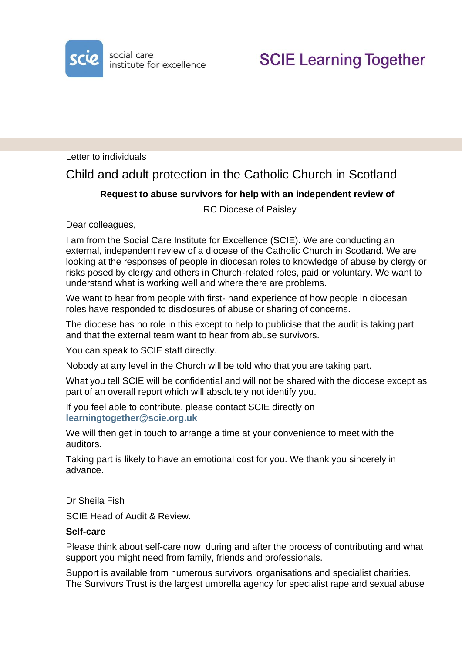

Letter to individuals

Child and adult protection in the Catholic Church in Scotland

# **Request to abuse survivors for help with an independent review of**

RC Diocese of Paisley

Dear colleagues,

I am from the Social Care Institute for Excellence (SCIE). We are conducting an external, independent review of a diocese of the Catholic Church in Scotland. We are looking at the responses of people in diocesan roles to knowledge of abuse by clergy or risks posed by clergy and others in Church-related roles, paid or voluntary. We want to understand what is working well and where there are problems.

We want to hear from people with first- hand experience of how people in diocesan roles have responded to disclosures of abuse or sharing of concerns.

The diocese has no role in this except to help to publicise that the audit is taking part and that the external team want to hear from abuse survivors.

You can speak to SCIE staff directly.

Nobody at any level in the Church will be told who that you are taking part.

What you tell SCIE will be confidential and will not be shared with the diocese except as part of an overall report which will absolutely not identify you.

If you feel able to contribute, please contact SCIE directly on **[learningtogether@scie.org.uk](mailto:learningtogether@scie.org.uk)**

We will then get in touch to arrange a time at your convenience to meet with the auditors.

Taking part is likely to have an emotional cost for you. We thank you sincerely in advance.

Dr Sheila Fish

SCIE Head of Audit & Review.

#### **Self-care**

Please think about self-care now, during and after the process of contributing and what support you might need from family, friends and professionals.

Support is available from numerous survivors' organisations and specialist charities. The Survivors Trust is the largest umbrella agency for specialist rape and sexual abuse